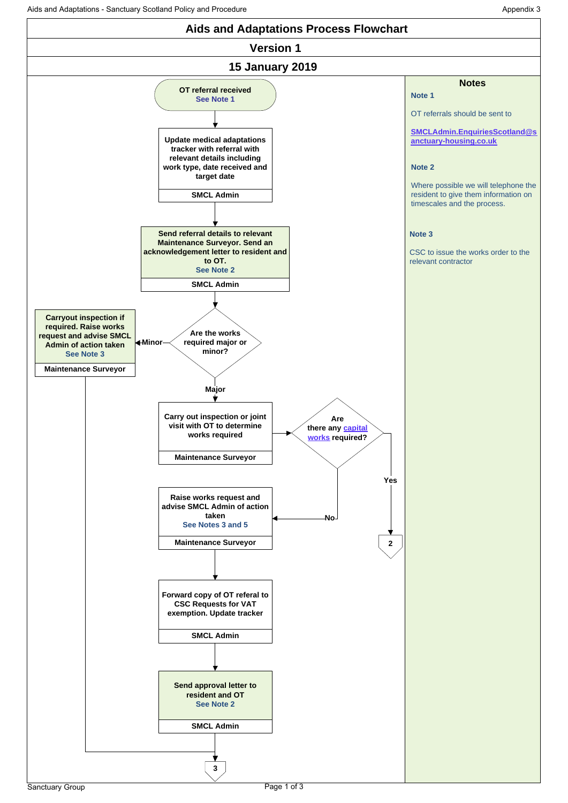<span id="page-0-0"></span>Aids and Adaptations - Sanctuary Scotland Policy and Procedure Appendix 3

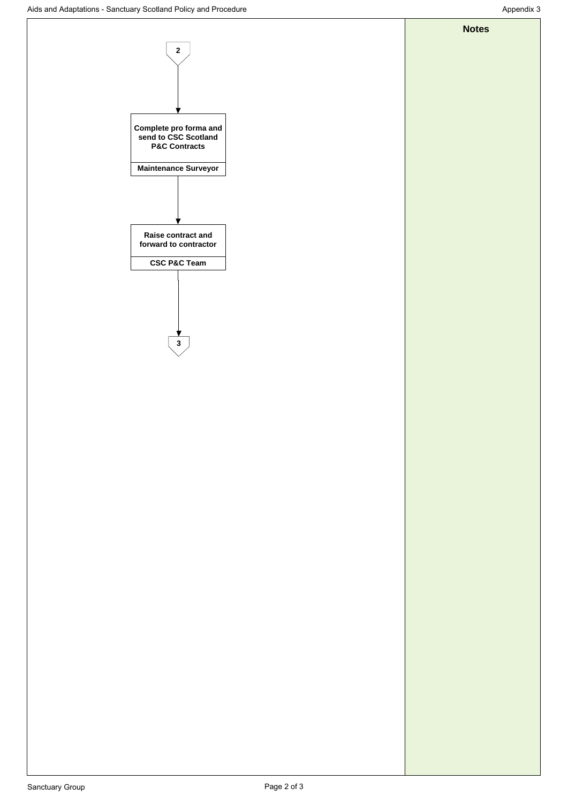**Notes**

<span id="page-1-0"></span>